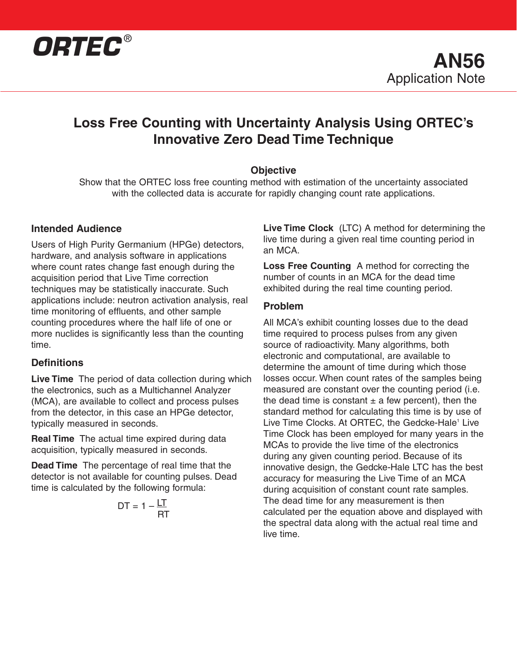

## **Loss Free Counting with Uncertainty Analysis Using ORTEC's Innovative Zero Dead Time Technique**

## **Objective**

Show that the ORTEC loss free counting method with estimation of the uncertainty associated with the collected data is accurate for rapidly changing count rate applications.

## **Intended Audience**

Users of High Purity Germanium (HPGe) detectors, hardware, and analysis software in applications where count rates change fast enough during the acquisition period that Live Time correction techniques may be statistically inaccurate. Such applications include: neutron activation analysis, real time monitoring of effluents, and other sample counting procedures where the half life of one or more nuclides is significantly less than the counting time.

## **Definitions**

**Live Time** The period of data collection during which the electronics, such as a Multichannel Analyzer (MCA), are available to collect and process pulses from the detector, in this case an HPGe detector, typically measured in seconds.

**Real Time** The actual time expired during data acquisition, typically measured in seconds.

**Dead Time** The percentage of real time that the detector is not available for counting pulses. Dead time is calculated by the following formula:

$$
DT = 1 - \frac{LT}{RT}
$$

**Live Time Clock** (LTC) A method for determining the live time during a given real time counting period in an MCA.

**Loss Free Counting** A method for correcting the number of counts in an MCA for the dead time exhibited during the real time counting period.

## **Problem**

All MCA's exhibit counting losses due to the dead time required to process pulses from any given source of radioactivity. Many algorithms, both electronic and computational, are available to determine the amount of time during which those losses occur. When count rates of the samples being measured are constant over the counting period (i.e. the dead time is constant  $\pm$  a few percent), then the standard method for calculating this time is by use of Live Time Clocks. At ORTEC, the Gedcke-Hale<sup>1</sup> Live Time Clock has been employed for many years in the MCAs to provide the live time of the electronics during any given counting period. Because of its innovative design, the Gedcke-Hale LTC has the best accuracy for measuring the Live Time of an MCA during acquisition of constant count rate samples. The dead time for any measurement is then calculated per the equation above and displayed with the spectral data along with the actual real time and live time.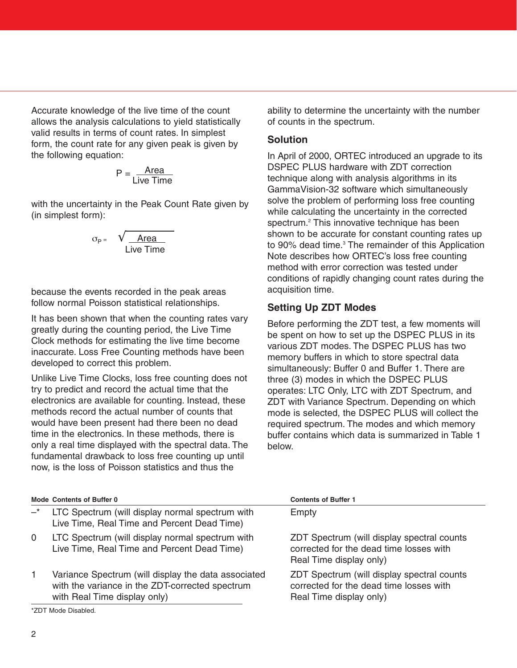Accurate knowledge of the live time of the count allows the analysis calculations to yield statistically valid results in terms of count rates. In simplest form, the count rate for any given peak is given by the following equation:

$$
P = \frac{Area}{Live Time}
$$

with the uncertainty in the Peak Count Rate given by (in simplest form):

$$
\sigma_{\text{p}} = \sqrt{\frac{\text{Area}}{\text{Live Time}}}
$$

because the events recorded in the peak areas follow normal Poisson statistical relationships.

It has been shown that when the counting rates vary greatly during the counting period, the Live Time Clock methods for estimating the live time become inaccurate. Loss Free Counting methods have been developed to correct this problem.

Unlike Live Time Clocks, loss free counting does not try to predict and record the actual time that the electronics are available for counting. Instead, these methods record the actual number of counts that would have been present had there been no dead time in the electronics. In these methods, there is only a real time displayed with the spectral data. The fundamental drawback to loss free counting up until now, is the loss of Poisson statistics and thus the

ability to determine the uncertainty with the number of counts in the spectrum.

## **Solution**

In April of 2000, ORTEC introduced an upgrade to its DSPEC PLUS hardware with ZDT correction technique along with analysis algorithms in its GammaVision-32 software which simultaneously solve the problem of performing loss free counting while calculating the uncertainty in the corrected spectrum.2 This innovative technique has been shown to be accurate for constant counting rates up to 90% dead time.<sup>3</sup> The remainder of this Application Note describes how ORTEC's loss free counting method with error correction was tested under conditions of rapidly changing count rates during the acquisition time.

## **Setting Up ZDT Modes**

Before performing the ZDT test, a few moments will be spent on how to set up the DSPEC PLUS in its various ZDT modes. The DSPEC PLUS has two memory buffers in which to store spectral data simultaneously: Buffer 0 and Buffer 1. There are three (3) modes in which the DSPEC PLUS operates: LTC Only, LTC with ZDT Spectrum, and ZDT with Variance Spectrum. Depending on which mode is selected, the DSPEC PLUS will collect the required spectrum. The modes and which memory buffer contains which data is summarized in Table 1 below.

|             | <b>Mode Contents of Buffer 0</b>                                                                                                       | <b>Contents of Buffer 1</b>                                                                                      |
|-------------|----------------------------------------------------------------------------------------------------------------------------------------|------------------------------------------------------------------------------------------------------------------|
| $-^{\star}$ | LTC Spectrum (will display normal spectrum with<br>Live Time, Real Time and Percent Dead Time)                                         | Empty                                                                                                            |
| $\Omega$    | LTC Spectrum (will display normal spectrum with<br>Live Time, Real Time and Percent Dead Time)                                         | ZDT Spectrum (will display spectral counts<br>corrected for the dead time losses with<br>Real Time display only) |
|             | Variance Spectrum (will display the data associated<br>with the variance in the ZDT-corrected spectrum<br>with Real Time display only) | ZDT Spectrum (will display spectral counts<br>corrected for the dead time losses with<br>Real Time display only) |
|             | *ZDT Mode Disabled.                                                                                                                    |                                                                                                                  |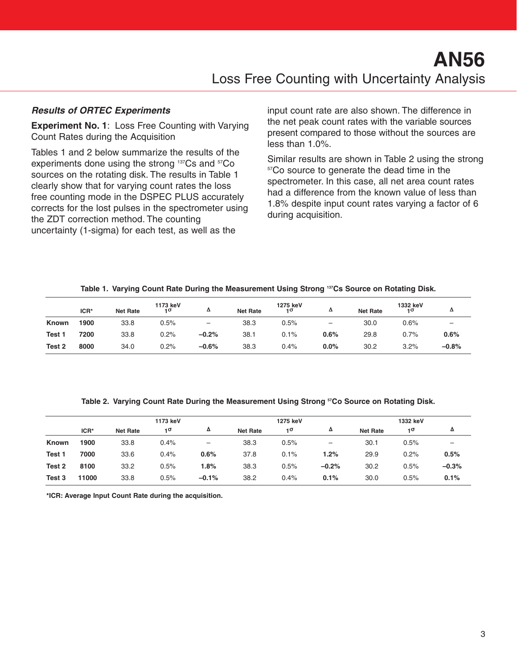## **Results of ORTEC Experiments**

**Experiment No. 1**: Loss Free Counting with Varying Count Rates during the Acquisition

Tables 1 and 2 below summarize the results of the experiments done using the strong <sup>137</sup>Cs and <sup>57</sup>Co sources on the rotating disk. The results in Table 1 clearly show that for varying count rates the loss free counting mode in the DSPEC PLUS accurately corrects for the lost pulses in the spectrometer using the ZDT correction method. The counting uncertainty (1-sigma) for each test, as well as the

input count rate are also shown. The difference in the net peak count rates with the variable sources present compared to those without the sources are less than 1.0%.

Similar results are shown in Table 2 using the strong <sup>57</sup>Co source to generate the dead time in the spectrometer. In this case, all net area count rates had a difference from the known value of less than 1.8% despite input count rates varying a factor of 6 during acquisition.

|              |      | --              |                | -                        |                 | -              | --                |                 |                |         |
|--------------|------|-----------------|----------------|--------------------------|-----------------|----------------|-------------------|-----------------|----------------|---------|
|              | ICR* | <b>Net Rate</b> | 1173 keV<br>٦σ | Δ                        | <b>Net Rate</b> | 1275 keV<br>10 | Δ                 | <b>Net Rate</b> | 1332 keV<br>10 | Δ       |
| <b>Known</b> | 1900 | 33.8            | 0.5%           | $\overline{\phantom{m}}$ | 38.3            | 0.5%           | $\qquad \qquad -$ | 30.0            | 0.6%           | -       |
| Test 1       | 7200 | 33.8            | 0.2%           | $-0.2%$                  | 38.1            | 0.1%           | 0.6%              | 29.8            | 0.7%           | 0.6%    |
| Test 2       | 8000 | 34.0            | 0.2%           | $-0.6%$                  | 38.3            | 0.4%           | 0.0%              | 30.2            | 3.2%           | $-0.8%$ |

**Table 1. Varying Count Rate During the Measurement Using Strong 137Cs Source on Rotating Disk.**

**Table 2. Varying Count Rate During the Measurement Using Strong 57Co Source on Rotating Disk.**

|              |       | 1173 keV        |           |         | 1275 keV        |      |         | 1332 keV        |      |                          |
|--------------|-------|-----------------|-----------|---------|-----------------|------|---------|-----------------|------|--------------------------|
|              | ICR*  | <b>Net Rate</b> | $1\sigma$ | Δ       | <b>Net Rate</b> | 10   | Δ       | <b>Net Rate</b> | 10   | Δ                        |
| <b>Known</b> | 1900  | 33.8            | 0.4%      |         | 38.3            | 0.5% | -       | 30.1            | 0.5% | $\overline{\phantom{0}}$ |
| Test 1       | 7000  | 33.6            | 0.4%      | 0.6%    | 37.8            | 0.1% | 1.2%    | 29.9            | 0.2% | 0.5%                     |
| Test 2       | 8100  | 33.2            | 0.5%      | 1.8%    | 38.3            | 0.5% | $-0.2%$ | 30.2            | 0.5% | $-0.3%$                  |
| Test 3       | 11000 | 33.8            | 0.5%      | $-0.1%$ | 38.2            | 0.4% | 0.1%    | 30.0            | 0.5% | 0.1%                     |

**\*ICR: Average Input Count Rate during the acquisition.**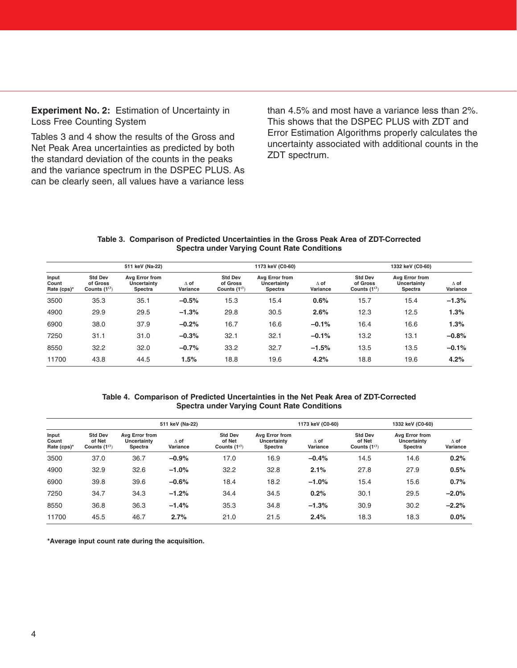**Experiment No. 2:** Estimation of Uncertainty in Loss Free Counting System

Tables 3 and 4 show the results of the Gross and Net Peak Area uncertainties as predicted by both the standard deviation of the counts in the peaks and the variance spectrum in the DSPEC PLUS. As can be clearly seen, all values have a variance less than 4.5% and most have a variance less than 2%. This shows that the DSPEC PLUS with ZDT and Error Estimation Algorithms properly calculates the uncertainty associated with additional counts in the ZDT spectrum.

#### **Table 3. Comparison of Predicted Uncertainties in the Gross Peak Area of ZDT-Corrected Spectra under Varying Count Rate Conditions**

|                               |                                                    | 511 keV (Na-22)                          |                         |                                                    | 1173 keV (C0-60)                         |                         |                                                    | 1332 keV (C0-60)                         |                         |
|-------------------------------|----------------------------------------------------|------------------------------------------|-------------------------|----------------------------------------------------|------------------------------------------|-------------------------|----------------------------------------------------|------------------------------------------|-------------------------|
| Input<br>Count<br>Rate (cps)* | <b>Std Dev</b><br>of Gross<br>Counts $(1^{\circ})$ | Avg Error from<br>Uncertainty<br>Spectra | $\Delta$ of<br>Variance | <b>Std Dev</b><br>of Gross<br>Counts $(1^{\circ})$ | Avg Error from<br>Uncertainty<br>Spectra | $\Delta$ of<br>Variance | <b>Std Dev</b><br>of Gross<br>Counts $(1^{\circ})$ | Avg Error from<br>Uncertainty<br>Spectra | $\Delta$ of<br>Variance |
| 3500                          | 35.3                                               | 35.1                                     | $-0.5%$                 | 15.3                                               | 15.4                                     | 0.6%                    | 15.7                                               | 15.4                                     | $-1.3%$                 |
| 4900                          | 29.9                                               | 29.5                                     | $-1.3%$                 | 29.8                                               | 30.5                                     | 2.6%                    | 12.3                                               | 12.5                                     | 1.3%                    |
| 6900                          | 38.0                                               | 37.9                                     | $-0.2%$                 | 16.7                                               | 16.6                                     | $-0.1%$                 | 16.4                                               | 16.6                                     | 1.3%                    |
| 7250                          | 31.1                                               | 31.0                                     | $-0.3%$                 | 32.1                                               | 32.1                                     | $-0.1%$                 | 13.2                                               | 13.1                                     | $-0.8%$                 |
| 8550                          | 32.2                                               | 32.0                                     | $-0.7%$                 | 33.2                                               | 32.7                                     | $-1.5%$                 | 13.5                                               | 13.5                                     | $-0.1%$                 |
| 11700                         | 43.8                                               | 44.5                                     | 1.5%                    | 18.8                                               | 19.6                                     | 4.2%                    | 18.8                                               | 19.6                                     | 4.2%                    |

#### **Table 4. Comparison of Predicted Uncertainties in the Net Peak Area of ZDT-Corrected Spectra under Varying Count Rate Conditions**

|                               |                                                  |                                                 | 511 keV (Na-22)         |                                                  |                                                 | 1173 keV (C0-60)        |                                                  | 1332 keV (C0-60)                                |                         |
|-------------------------------|--------------------------------------------------|-------------------------------------------------|-------------------------|--------------------------------------------------|-------------------------------------------------|-------------------------|--------------------------------------------------|-------------------------------------------------|-------------------------|
| Input<br>Count<br>Rate (cps)* | <b>Std Dev</b><br>of Net<br>Counts $(1^{\circ})$ | Avg Error from<br><b>Uncertainty</b><br>Spectra | $\Delta$ of<br>Variance | <b>Std Dev</b><br>of Net<br>Counts $(1^{\circ})$ | Avg Error from<br><b>Uncertainty</b><br>Spectra | $\Delta$ of<br>Variance | <b>Std Dev</b><br>of Net<br>Counts $(1^{\circ})$ | Avg Error from<br><b>Uncertainty</b><br>Spectra | $\Delta$ of<br>Variance |
| 3500                          | 37.0                                             | 36.7                                            | $-0.9%$                 | 17.0                                             | 16.9                                            | $-0.4%$                 | 14.5                                             | 14.6                                            | 0.2%                    |
| 4900                          | 32.9                                             | 32.6                                            | $-1.0%$                 | 32.2                                             | 32.8                                            | 2.1%                    | 27.8                                             | 27.9                                            | 0.5%                    |
| 6900                          | 39.8                                             | 39.6                                            | $-0.6%$                 | 18.4                                             | 18.2                                            | $-1.0%$                 | 15.4                                             | 15.6                                            | 0.7%                    |
| 7250                          | 34.7                                             | 34.3                                            | $-1.2%$                 | 34.4                                             | 34.5                                            | 0.2%                    | 30.1                                             | 29.5                                            | $-2.0%$                 |
| 8550                          | 36.8                                             | 36.3                                            | $-1.4%$                 | 35.3                                             | 34.8                                            | $-1.3%$                 | 30.9                                             | 30.2                                            | $-2.2%$                 |
| 11700                         | 45.5                                             | 46.7                                            | 2.7%                    | 21.0                                             | 21.5                                            | 2.4%                    | 18.3                                             | 18.3                                            | 0.0%                    |

**\*Average input count rate during the acquisition.**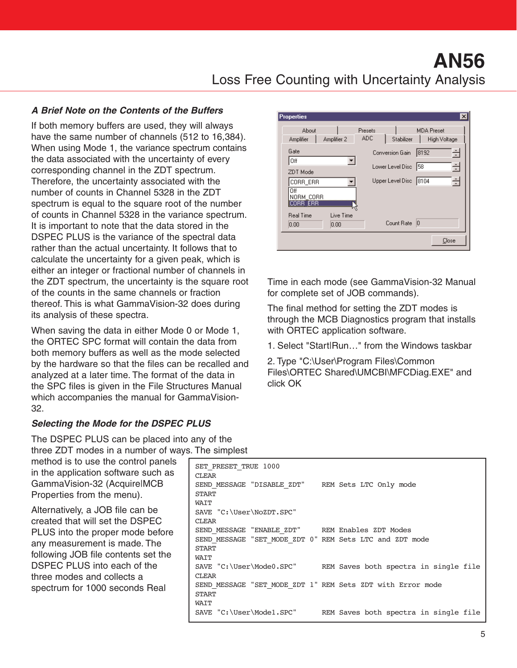# **AN56** Loss Free Counting with Uncertainty Analysis

## **A Brief Note on the Contents of the Buffers**

If both memory buffers are used, they will always have the same number of channels (512 to 16,384). When using Mode 1, the variance spectrum contains the data associated with the uncertainty of every corresponding channel in the ZDT spectrum. Therefore, the uncertainty associated with the number of counts in Channel 5328 in the ZDT spectrum is equal to the square root of the number of counts in Channel 5328 in the variance spectrum. It is important to note that the data stored in the DSPEC PLUS is the variance of the spectral data rather than the actual uncertainty. It follows that to calculate the uncertainty for a given peak, which is either an integer or fractional number of channels in the ZDT spectrum, the uncertainty is the square root of the counts in the same channels or fraction thereof. This is what GammaVision-32 does during its analysis of these spectra.

When saving the data in either Mode 0 or Mode 1, the ORTEC SPC format will contain the data from both memory buffers as well as the mode selected by the hardware so that the files can be recalled and analyzed at a later time. The format of the data in the SPC files is given in the File Structures Manual which accompanies the manual for GammaVision-32.

## **Selecting the Mode for the DSPEC PLUS**

The DSPEC PLUS can be placed into any of the three ZDT modes in a number of ways. The simplest

method is to use the control panels in the application software such as GammaVision-32 (Acquire|MCB Properties from the menu).

Alternatively, a JOB file can be created that will set the DSPEC PLUS into the proper mode before any measurement is made. The following JOB file contents set the DSPEC PLUS into each of the three modes and collects a spectrum for 1000 seconds Real

| <b>Properties</b>                 | Presets    |                        |                                   | $\times$ |
|-----------------------------------|------------|------------------------|-----------------------------------|----------|
| About<br>Amplifier<br>Amplifier 2 | <b>ADC</b> | Stabilizer             | <b>MDA Preset</b><br>High Voltage |          |
| Gate                              |            | Conversion Gain        | 8192                              | Ė        |
| Off                               | ▼          | Lower Level Disc       | 158                               | 분        |
| ZDT Mode                          |            |                        |                                   |          |
| CORR_ERR                          |            | Upper Level Disc  8104 |                                   | ク        |
| Ωff<br>NORM CORR                  |            |                        |                                   |          |
| ERR<br>RВ                         |            |                        |                                   |          |
| <b>Real Time</b>                  | Live Time  |                        |                                   |          |
| 0.00<br>0.00                      |            | Count Rate             | 10                                |          |
|                                   |            |                        | Close                             |          |

Time in each mode (see GammaVision-32 Manual for complete set of JOB commands).

The final method for setting the ZDT modes is through the MCB Diagnostics program that installs with ORTEC application software.

1. Select "Start|Run…" from the Windows taskbar

2. Type "C:\User\Program Files\Common Files\ORTEC Shared\UMCBI\MFCDiag.EXE" and click OK

| SET PRESET TRUE 1000<br><b>CLEAR</b>                       |                                                                |
|------------------------------------------------------------|----------------------------------------------------------------|
| SEND MESSAGE "DISABLE ZDT" REM Sets LTC Only mode          |                                                                |
| START                                                      |                                                                |
| WAIT                                                       |                                                                |
| SAVE "C:\User\NoZDT.SPC"                                   |                                                                |
| <b>CLEAR</b>                                               |                                                                |
| SEND MESSAGE "ENABLE ZDT" REM Enables ZDT Modes            |                                                                |
| SEND MESSAGE "SET MODE ZDT 0" REM Sets LTC and ZDT mode    |                                                                |
| <b>START</b>                                               |                                                                |
| WAIT                                                       |                                                                |
|                                                            | SAVE "C:\User\Mode0.SPC" REM Saves both spectra in single file |
| <b>CLEAR</b>                                               |                                                                |
| SEND MESSAGE "SET MODE ZDT 1" REM Sets ZDT with Error mode |                                                                |
| <b>START</b>                                               |                                                                |
| WAIT                                                       |                                                                |
| SAVE "C:\User\Mode1.SPC"                                   | REM Saves both spectra in single file                          |
|                                                            |                                                                |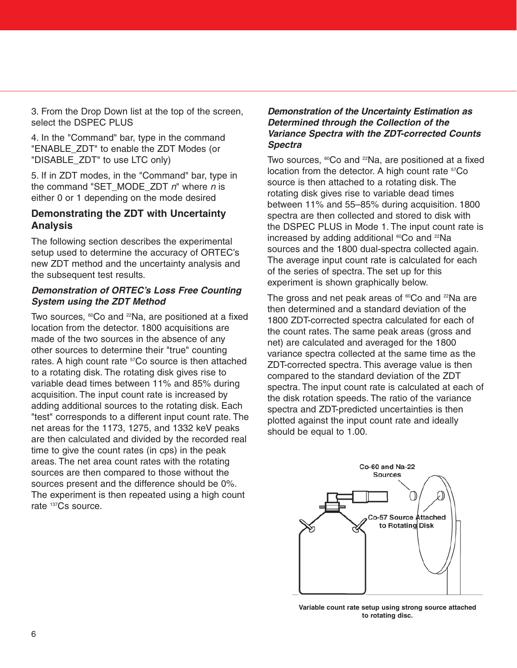3. From the Drop Down list at the top of the screen, select the DSPEC PLUS

4. In the "Command" bar, type in the command "ENABLE\_ZDT" to enable the ZDT Modes (or "DISABLE\_ZDT" to use LTC only)

5. If in ZDT modes, in the "Command" bar, type in the command "SET\_MODE\_ZDT  $n$ " where  $n$  is either 0 or 1 depending on the mode desired

## **Demonstrating the ZDT with Uncertainty Analysis**

The following section describes the experimental setup used to determine the accuracy of ORTEC's new ZDT method and the uncertainty analysis and the subsequent test results.

## **Demonstration of ORTEC's Loss Free Counting System using the ZDT Method**

Two sources,  $^{60}$ Co and  $^{22}$ Na, are positioned at a fixed location from the detector. 1800 acquisitions are made of the two sources in the absence of any other sources to determine their "true" counting rates. A high count rate <sup>57</sup>Co source is then attached to a rotating disk. The rotating disk gives rise to variable dead times between 11% and 85% during acquisition. The input count rate is increased by adding additional sources to the rotating disk. Each "test" corresponds to a different input count rate. The net areas for the 1173, 1275, and 1332 keV peaks are then calculated and divided by the recorded real time to give the count rates (in cps) in the peak areas. The net area count rates with the rotating sources are then compared to those without the sources present and the difference should be 0%. The experiment is then repeated using a high count rate <sup>137</sup>Cs source.

## **Demonstration of the Uncertainty Estimation as Determined through the Collection of the Variance Spectra with the ZDT-corrected Counts Spectra**

Two sources,  $^{60}$ Co and  $^{22}$ Na, are positioned at a fixed location from the detector. A high count rate  $57C$ o source is then attached to a rotating disk. The rotating disk gives rise to variable dead times between 11% and 55–85% during acquisition. 1800 spectra are then collected and stored to disk with the DSPEC PLUS in Mode 1. The input count rate is increased by adding additional <sup>60</sup>Co and <sup>22</sup>Na sources and the 1800 dual-spectra collected again. The average input count rate is calculated for each of the series of spectra. The set up for this experiment is shown graphically below.

The gross and net peak areas of  ${}^{60}Co$  and  ${}^{22}Na$  are then determined and a standard deviation of the 1800 ZDT-corrected spectra calculated for each of the count rates. The same peak areas (gross and net) are calculated and averaged for the 1800 variance spectra collected at the same time as the ZDT-corrected spectra. This average value is then compared to the standard deviation of the ZDT spectra. The input count rate is calculated at each of the disk rotation speeds. The ratio of the variance spectra and ZDT-predicted uncertainties is then plotted against the input count rate and ideally should be equal to 1.00.



**Variable count rate setup using strong source attached to rotating disc.**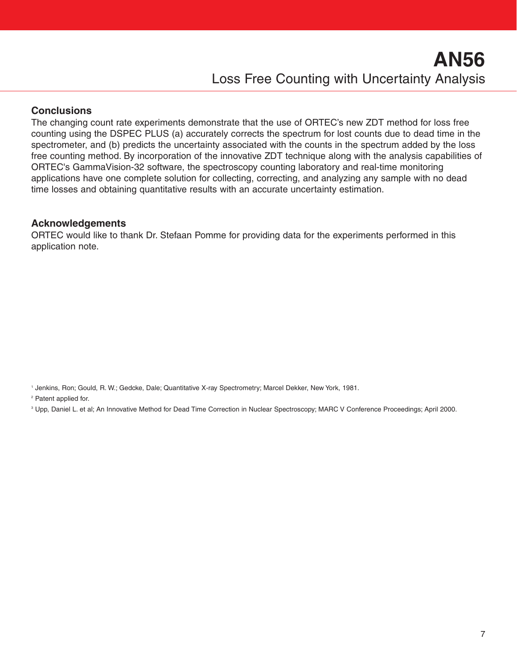## **Conclusions**

The changing count rate experiments demonstrate that the use of ORTEC's new ZDT method for loss free counting using the DSPEC PLUS (a) accurately corrects the spectrum for lost counts due to dead time in the spectrometer, and (b) predicts the uncertainty associated with the counts in the spectrum added by the loss free counting method. By incorporation of the innovative ZDT technique along with the analysis capabilities of ORTEC's GammaVision-32 software, the spectroscopy counting laboratory and real-time monitoring applications have one complete solution for collecting, correcting, and analyzing any sample with no dead time losses and obtaining quantitative results with an accurate uncertainty estimation.

## **Acknowledgements**

ORTEC would like to thank Dr. Stefaan Pomme for providing data for the experiments performed in this application note.

<sup>2</sup> Patent applied for.

<sup>3</sup> Upp, Daniel L. et al; An Innovative Method for Dead Time Correction in Nuclear Spectroscopy; MARC V Conference Proceedings; April 2000.

<sup>1</sup> Jenkins, Ron; Gould, R. W.; Gedcke, Dale; Quantitative X-ray Spectrometry; Marcel Dekker, New York, 1981.